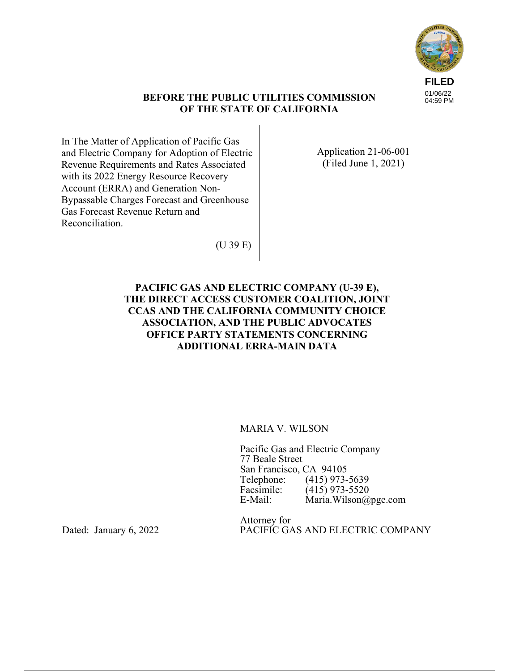

## **BEFORE THE PUBLIC UTILITIES COMMISSION OF THE STATE OF CALIFORNIA**

In The Matter of Application of Pacific Gas and Electric Company for Adoption of Electric Revenue Requirements and Rates Associated with its 2022 Energy Resource Recovery Account (ERRA) and Generation Non-Bypassable Charges Forecast and Greenhouse Gas Forecast Revenue Return and Reconciliation.

Application 21-06-001 (Filed June 1, 2021)

(U 39 E)

# **PACIFIC GAS AND ELECTRIC COMPANY (U-39 E), THE DIRECT ACCESS CUSTOMER COALITION, JOINT CCAS AND THE CALIFORNIA COMMUNITY CHOICE ASSOCIATION, AND THE PUBLIC ADVOCATES OFFICE PARTY STATEMENTS CONCERNING ADDITIONAL ERRA-MAIN DATA**

## MARIA V. WILSON

Pacific Gas and Electric Company 77 Beale Street San Francisco, CA 94105<br>Telephone: (415) 973-Telephone: (415) 973-5639<br>Facsimile: (415) 973-5520 Facsimile: (415) 973-5520<br>E-Mail: Maria.Wilson@ Maria. Wilson@pge.com

Attorney for PACIFIC GAS AND ELECTRIC COMPANY

Dated: January 6, 2022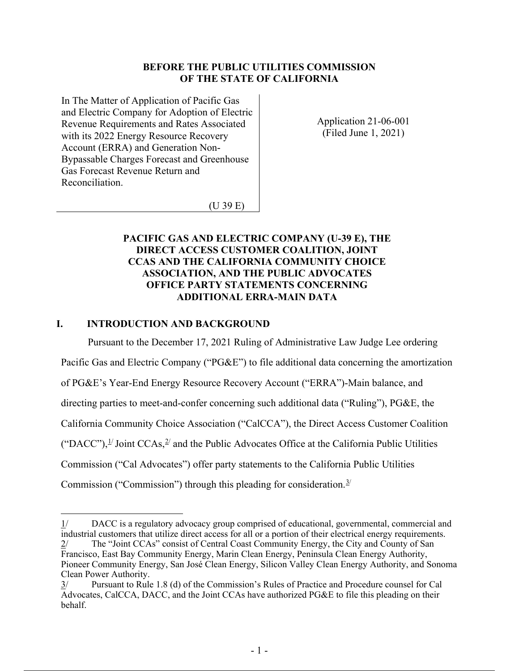## **BEFORE THE PUBLIC UTILITIES COMMISSION OF THE STATE OF CALIFORNIA**

In The Matter of Application of Pacific Gas and Electric Company for Adoption of Electric Revenue Requirements and Rates Associated with its 2022 Energy Resource Recovery Account (ERRA) and Generation Non-Bypassable Charges Forecast and Greenhouse Gas Forecast Revenue Return and Reconciliation.

Application 21-06-001 (Filed June 1, 2021)

(U 39 E)

# **PACIFIC GAS AND ELECTRIC COMPANY (U-39 E), THE DIRECT ACCESS CUSTOMER COALITION, JOINT CCAS AND THE CALIFORNIA COMMUNITY CHOICE ASSOCIATION, AND THE PUBLIC ADVOCATES OFFICE PARTY STATEMENTS CONCERNING ADDITIONAL ERRA-MAIN DATA**

# **I. INTRODUCTION AND BACKGROUND**

Pursuant to the December 17, 2021 Ruling of Administrative Law Judge Lee ordering

Pacific Gas and Electric Company ("PG&E") to file additional data concerning the amortization

of PG&E's Year-End Energy Resource Recovery Account ("ERRA")-Main balance, and

directing parties to meet-and-confer concerning such additional data ("Ruling"), PG&E, the

California Community Choice Association ("CalCCA"), the Direct Access Customer Coalition

("DACC"), <sup>1</sup> Joint CCAs, <sup>2</sup> and the Public Advocates Office at the California Public Utilities

Commission ("Cal Advocates") offer party statements to the California Public Utilities

Commission ("Commission") through this pleading for consideration.<sup>3/</sup>

<sup>1/</sup> DACC is a regulatory advocacy group comprised of educational, governmental, commercial and industrial customers that utilize direct access for all or a portion of their electrical energy requirements.

<sup>2/</sup> The "Joint CCAs" consist of Central Coast Community Energy, the City and County of San Francisco, East Bay Community Energy, Marin Clean Energy, Peninsula Clean Energy Authority, Pioneer Community Energy, San José Clean Energy, Silicon Valley Clean Energy Authority, and Sonoma Clean Power Authority.

<sup>3/</sup> Pursuant to Rule 1.8 (d) of the Commission's Rules of Practice and Procedure counsel for Cal Advocates, CalCCA, DACC, and the Joint CCAs have authorized PG&E to file this pleading on their behalf.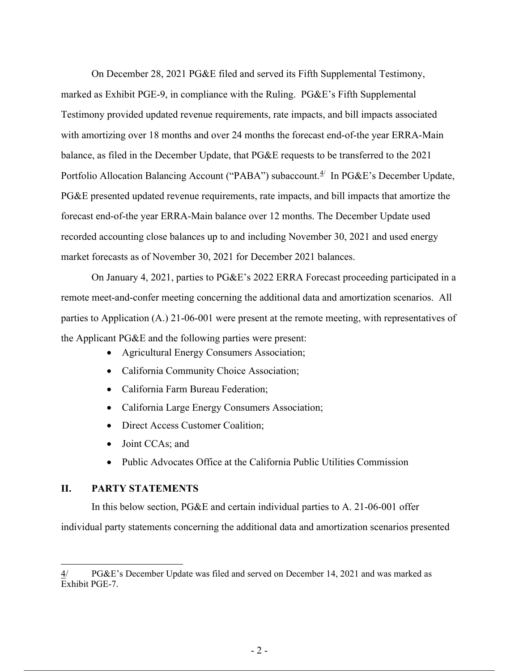On December 28, 2021 PG&E filed and served its Fifth Supplemental Testimony, marked as Exhibit PGE-9, in compliance with the Ruling. PG&E's Fifth Supplemental Testimony provided updated revenue requirements, rate impacts, and bill impacts associated with amortizing over 18 months and over 24 months the forecast end-of-the year ERRA-Main balance, as filed in the December Update, that PG&E requests to be transferred to the 2021 Portfolio Allocation Balancing Account ("PABA") subaccount.<sup>4/</sup> In PG&E's December Update, PG&E presented updated revenue requirements, rate impacts, and bill impacts that amortize the forecast end-of-the year ERRA-Main balance over 12 months. The December Update used recorded accounting close balances up to and including November 30, 2021 and used energy market forecasts as of November 30, 2021 for December 2021 balances.

On January 4, 2021, parties to PG&E's 2022 ERRA Forecast proceeding participated in a remote meet-and-confer meeting concerning the additional data and amortization scenarios. All parties to Application (A.) 21-06-001 were present at the remote meeting, with representatives of the Applicant PG&E and the following parties were present:

- Agricultural Energy Consumers Association;
- California Community Choice Association;
- California Farm Bureau Federation;
- California Large Energy Consumers Association;
- Direct Access Customer Coalition;
- Joint CCAs; and
- Public Advocates Office at the California Public Utilities Commission

#### **II. PARTY STATEMENTS**

In this below section, PG&E and certain individual parties to A. 21-06-001 offer individual party statements concerning the additional data and amortization scenarios presented

<sup>4/</sup> PG&E's December Update was filed and served on December 14, 2021 and was marked as Exhibit PGE-7.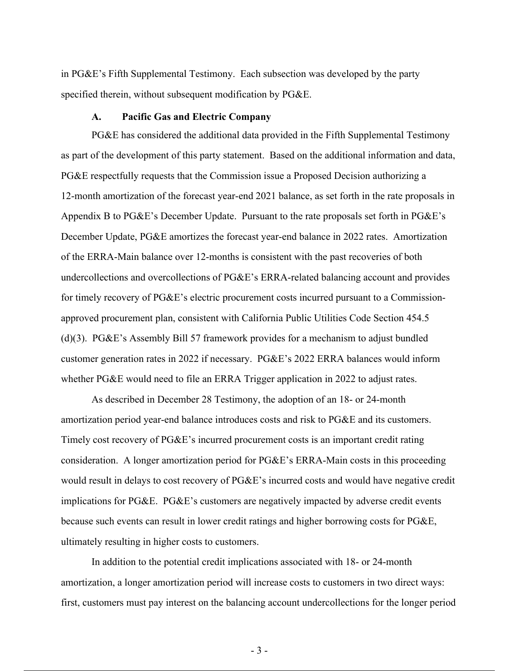in PG&E's Fifth Supplemental Testimony. Each subsection was developed by the party specified therein, without subsequent modification by PG&E.

#### **A. Pacific Gas and Electric Company**

PG&E has considered the additional data provided in the Fifth Supplemental Testimony as part of the development of this party statement. Based on the additional information and data, PG&E respectfully requests that the Commission issue a Proposed Decision authorizing a 12-month amortization of the forecast year-end 2021 balance, as set forth in the rate proposals in Appendix B to PG&E's December Update. Pursuant to the rate proposals set forth in PG&E's December Update, PG&E amortizes the forecast year-end balance in 2022 rates. Amortization of the ERRA-Main balance over 12-months is consistent with the past recoveries of both undercollections and overcollections of PG&E's ERRA-related balancing account and provides for timely recovery of PG&E's electric procurement costs incurred pursuant to a Commissionapproved procurement plan, consistent with California Public Utilities Code Section 454.5 (d)(3). PG&E's Assembly Bill 57 framework provides for a mechanism to adjust bundled customer generation rates in 2022 if necessary. PG&E's 2022 ERRA balances would inform whether PG&E would need to file an ERRA Trigger application in 2022 to adjust rates.

As described in December 28 Testimony, the adoption of an 18- or 24-month amortization period year-end balance introduces costs and risk to PG&E and its customers. Timely cost recovery of PG&E's incurred procurement costs is an important credit rating consideration. A longer amortization period for PG&E's ERRA-Main costs in this proceeding would result in delays to cost recovery of PG&E's incurred costs and would have negative credit implications for PG&E. PG&E's customers are negatively impacted by adverse credit events because such events can result in lower credit ratings and higher borrowing costs for PG&E, ultimately resulting in higher costs to customers.

In addition to the potential credit implications associated with 18- or 24-month amortization, a longer amortization period will increase costs to customers in two direct ways: first, customers must pay interest on the balancing account undercollections for the longer period

- 3 -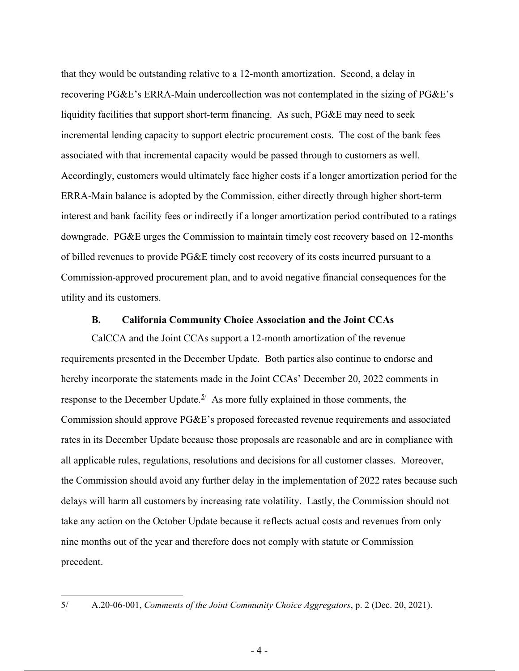that they would be outstanding relative to a 12-month amortization. Second, a delay in recovering PG&E's ERRA-Main undercollection was not contemplated in the sizing of PG&E's liquidity facilities that support short-term financing. As such, PG&E may need to seek incremental lending capacity to support electric procurement costs. The cost of the bank fees associated with that incremental capacity would be passed through to customers as well. Accordingly, customers would ultimately face higher costs if a longer amortization period for the ERRA-Main balance is adopted by the Commission, either directly through higher short-term interest and bank facility fees or indirectly if a longer amortization period contributed to a ratings downgrade. PG&E urges the Commission to maintain timely cost recovery based on 12-months of billed revenues to provide PG&E timely cost recovery of its costs incurred pursuant to a Commission-approved procurement plan, and to avoid negative financial consequences for the utility and its customers.

#### **B. California Community Choice Association and the Joint CCAs**

CalCCA and the Joint CCAs support a 12-month amortization of the revenue requirements presented in the December Update. Both parties also continue to endorse and hereby incorporate the statements made in the Joint CCAs' December 20, 2022 comments in response to the December Update.<sup>5/</sup> As more fully explained in those comments, the Commission should approve PG&E's proposed forecasted revenue requirements and associated rates in its December Update because those proposals are reasonable and are in compliance with all applicable rules, regulations, resolutions and decisions for all customer classes. Moreover, the Commission should avoid any further delay in the implementation of 2022 rates because such delays will harm all customers by increasing rate volatility. Lastly, the Commission should not take any action on the October Update because it reflects actual costs and revenues from only nine months out of the year and therefore does not comply with statute or Commission precedent.

<sup>5/</sup> A.20-06-001, *Comments of the Joint Community Choice Aggregators*, p. 2 (Dec. 20, 2021).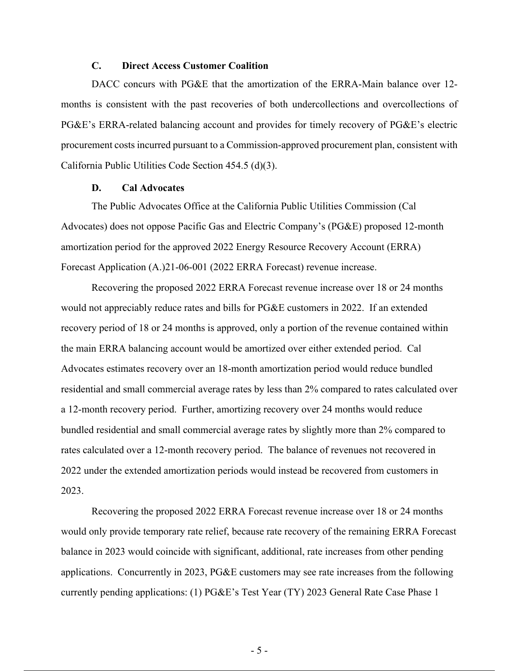### **C. Direct Access Customer Coalition**

DACC concurs with PG&E that the amortization of the ERRA-Main balance over 12months is consistent with the past recoveries of both undercollections and overcollections of PG&E's ERRA-related balancing account and provides for timely recovery of PG&E's electric procurement costs incurred pursuant to a Commission-approved procurement plan, consistent with California Public Utilities Code Section 454.5 (d)(3).

### **D. Cal Advocates**

The Public Advocates Office at the California Public Utilities Commission (Cal Advocates) does not oppose Pacific Gas and Electric Company's (PG&E) proposed 12-month amortization period for the approved 2022 Energy Resource Recovery Account (ERRA) Forecast Application (A.)21-06-001 (2022 ERRA Forecast) revenue increase.

Recovering the proposed 2022 ERRA Forecast revenue increase over 18 or 24 months would not appreciably reduce rates and bills for PG&E customers in 2022. If an extended recovery period of 18 or 24 months is approved, only a portion of the revenue contained within the main ERRA balancing account would be amortized over either extended period. Cal Advocates estimates recovery over an 18-month amortization period would reduce bundled residential and small commercial average rates by less than 2% compared to rates calculated over a 12-month recovery period. Further, amortizing recovery over 24 months would reduce bundled residential and small commercial average rates by slightly more than 2% compared to rates calculated over a 12-month recovery period. The balance of revenues not recovered in 2022 under the extended amortization periods would instead be recovered from customers in 2023.

Recovering the proposed 2022 ERRA Forecast revenue increase over 18 or 24 months would only provide temporary rate relief, because rate recovery of the remaining ERRA Forecast balance in 2023 would coincide with significant, additional, rate increases from other pending applications. Concurrently in 2023, PG&E customers may see rate increases from the following currently pending applications: (1) PG&E's Test Year (TY) 2023 General Rate Case Phase 1

- 5 -